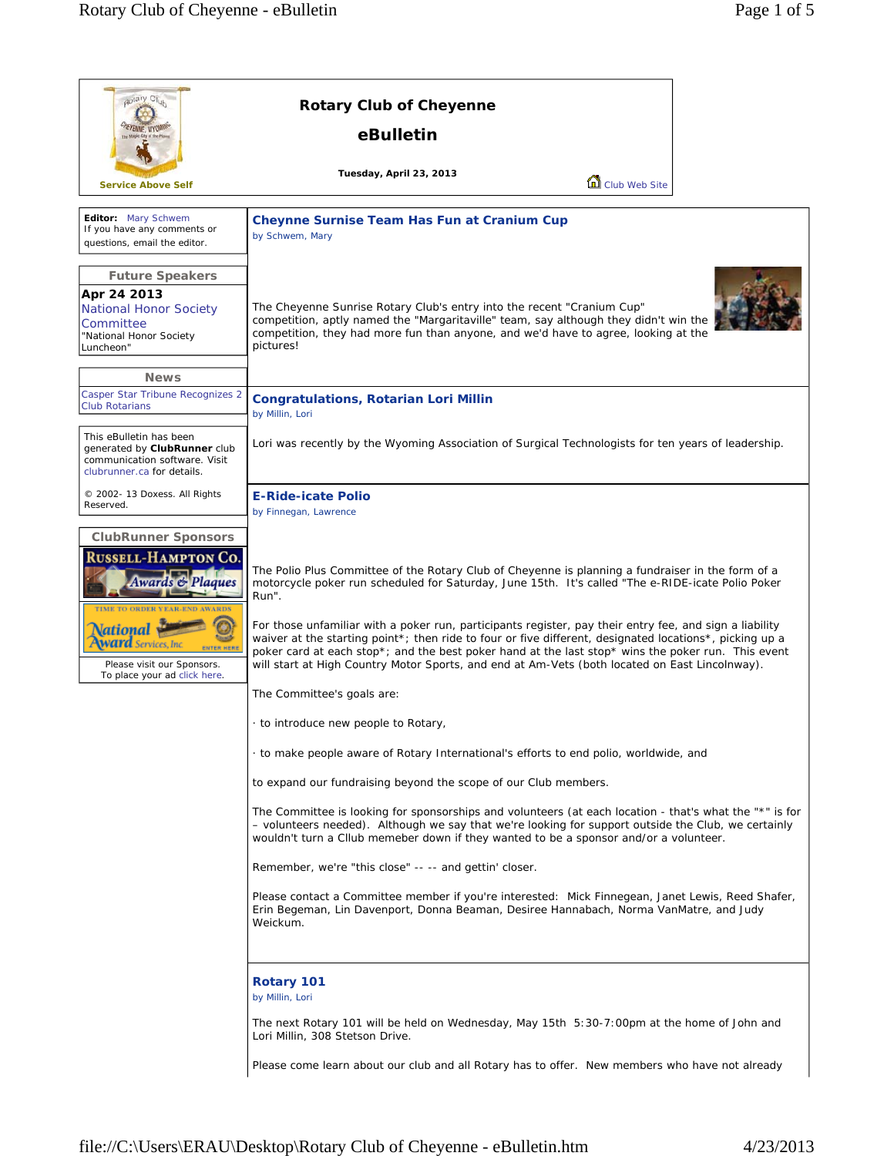| aotary Clut                                                                                                                                                                                                                                    | <b>Rotary Club of Cheyenne</b>                                                                                                                                                                                                                                                                                                                                                                                                                                                                                                                                                                                                                                                                                                              |
|------------------------------------------------------------------------------------------------------------------------------------------------------------------------------------------------------------------------------------------------|---------------------------------------------------------------------------------------------------------------------------------------------------------------------------------------------------------------------------------------------------------------------------------------------------------------------------------------------------------------------------------------------------------------------------------------------------------------------------------------------------------------------------------------------------------------------------------------------------------------------------------------------------------------------------------------------------------------------------------------------|
|                                                                                                                                                                                                                                                | eBulletin                                                                                                                                                                                                                                                                                                                                                                                                                                                                                                                                                                                                                                                                                                                                   |
| <b>Service Above Self</b>                                                                                                                                                                                                                      | Tuesday, April 23, 2013<br>Club Web Site                                                                                                                                                                                                                                                                                                                                                                                                                                                                                                                                                                                                                                                                                                    |
| Editor: Mary Schwem<br>If you have any comments or<br>questions, email the editor.                                                                                                                                                             | Cheynne Surnise Team Has Fun at Cranium Cup<br>by Schwem, Mary                                                                                                                                                                                                                                                                                                                                                                                                                                                                                                                                                                                                                                                                              |
| <b>Future Speakers</b><br>Apr 24 2013<br><b>National Honor Society</b><br>Committee<br>"National Honor Society<br>Luncheon"<br><b>News</b>                                                                                                     | The Cheyenne Sunrise Rotary Club's entry into the recent "Cranium Cup"<br>competition, aptly named the "Margaritaville" team, say although they didn't win the<br>competition, they had more fun than anyone, and we'd have to agree, looking at the<br>pictures!                                                                                                                                                                                                                                                                                                                                                                                                                                                                           |
| Casper Star Tribune Recognizes 2<br><b>Club Rotarians</b>                                                                                                                                                                                      | <b>Congratulations, Rotarian Lori Millin</b><br>by Millin, Lori                                                                                                                                                                                                                                                                                                                                                                                                                                                                                                                                                                                                                                                                             |
| This eBulletin has been<br>generated by ClubRunner club<br>communication software. Visit<br>clubrunner.ca for details.                                                                                                                         | Lori was recently by the Wyoming Association of Surgical Technologists for ten years of leadership.                                                                                                                                                                                                                                                                                                                                                                                                                                                                                                                                                                                                                                         |
| © 2002- 13 Doxess. All Rights<br>Reserved.                                                                                                                                                                                                     | <b>E-Ride-icate Polio</b><br>by Finnegan, Lawrence                                                                                                                                                                                                                                                                                                                                                                                                                                                                                                                                                                                                                                                                                          |
| <b>ClubRunner Sponsors</b><br><b>RUSSELL-HAMPTON CO.</b><br><b>Awards &amp; Plaques</b><br>TIME TO ORDER YEAR-END AWARDS<br><b>\ational</b><br>Services. Inc<br><b>ENTER HER</b><br>Please visit our Sponsors.<br>To place your ad click here. | The Polio Plus Committee of the Rotary Club of Cheyenne is planning a fundraiser in the form of a<br>motorcycle poker run scheduled for Saturday, June 15th. It's called "The e-RIDE-icate Polio Poker<br>Run".<br>For those unfamiliar with a poker run, participants register, pay their entry fee, and sign a liability<br>waiver at the starting point <sup>*</sup> ; then ride to four or five different, designated locations <sup>*</sup> , picking up a<br>poker card at each stop*; and the best poker hand at the last stop* wins the poker run. This event<br>will start at High Country Motor Sports, and end at Am-Vets (both located on East Lincolnway).<br>The Committee's goals are:<br>to introduce new people to Rotary, |
|                                                                                                                                                                                                                                                | to make people aware of Rotary International's efforts to end polio, worldwide, and<br>to expand our fundraising beyond the scope of our Club members.                                                                                                                                                                                                                                                                                                                                                                                                                                                                                                                                                                                      |
|                                                                                                                                                                                                                                                | The Committee is looking for sponsorships and volunteers (at each location - that's what the "*" is for<br>- volunteers needed). Although we say that we're looking for support outside the Club, we certainly<br>wouldn't turn a Cllub memeber down if they wanted to be a sponsor and/or a volunteer.                                                                                                                                                                                                                                                                                                                                                                                                                                     |
|                                                                                                                                                                                                                                                | Remember, we're "this close" -- -- and gettin' closer.                                                                                                                                                                                                                                                                                                                                                                                                                                                                                                                                                                                                                                                                                      |
|                                                                                                                                                                                                                                                | Please contact a Committee member if you're interested: Mick Finnegean, Janet Lewis, Reed Shafer,<br>Erin Begeman, Lin Davenport, Donna Beaman, Desiree Hannabach, Norma VanMatre, and Judy<br>Weickum.                                                                                                                                                                                                                                                                                                                                                                                                                                                                                                                                     |
|                                                                                                                                                                                                                                                | <b>Rotary 101</b><br>by Millin, Lori                                                                                                                                                                                                                                                                                                                                                                                                                                                                                                                                                                                                                                                                                                        |
|                                                                                                                                                                                                                                                | The next Rotary 101 will be held on Wednesday, May 15th 5:30-7:00pm at the home of John and<br>Lori Millin, 308 Stetson Drive.                                                                                                                                                                                                                                                                                                                                                                                                                                                                                                                                                                                                              |
|                                                                                                                                                                                                                                                | Please come learn about our club and all Rotary has to offer. New members who have not already                                                                                                                                                                                                                                                                                                                                                                                                                                                                                                                                                                                                                                              |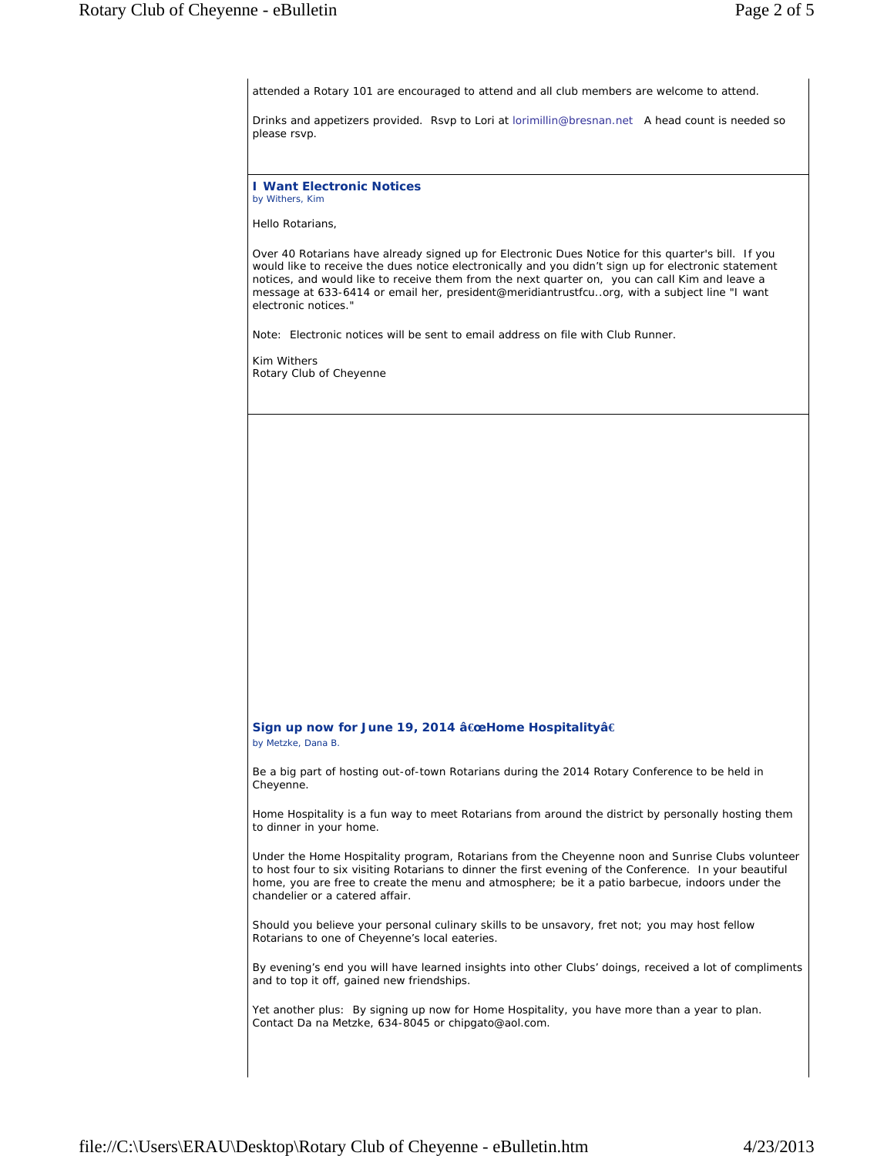attended a Rotary 101 are encouraged to attend and all club members are welcome to attend. Drinks and appetizers provided. Rsvp to Lori at lorimillin@bresnan.net A head count is needed so please rsvp. **I Want Electronic Notices** *by Withers, Kim*  Hello Rotarians, Over 40 Rotarians have already signed up for Electronic Dues Notice for this quarter's bill. If you would like to receive the dues notice electronically and you didn't sign up for electronic statement notices, and would like to receive them from the next quarter on, you can call Kim and leave a message at 633-6414 or email her, president@meridiantrustfcu..org, with a subject line "I want electronic notices." Note: Electronic notices will be sent to email address on file with Club Runner. Kim Withers Rotary Club of Cheyenne **Sign up now for June 19, 2014 â€œHome Hospitalityâ€** *by Metzke, Dana B.* Be a big part of hosting out-of-town Rotarians during the 2014 Rotary Conference to be held in Cheyenne. Home Hospitality is a fun way to meet Rotarians from around the district by personally hosting them to dinner in your home. Under the Home Hospitality program, Rotarians from the Cheyenne noon and Sunrise Clubs volunteer to host four to six visiting Rotarians to dinner the first evening of the Conference. In your beautiful home, you are free to create the menu and atmosphere; be it a patio barbecue, indoors under the chandelier or a catered affair. Should you believe your personal culinary skills to be unsavory, fret not; you may host fellow Rotarians to one of Cheyenne's local eateries. By evening's end you will have learned insights into other Clubs' doings, received a lot of compliments and to top it off, gained new friendships. Yet another plus: By signing up now for Home Hospitality, you have more than a year to plan. Contact Da na Metzke, 634-8045 or chipgato@aol.com.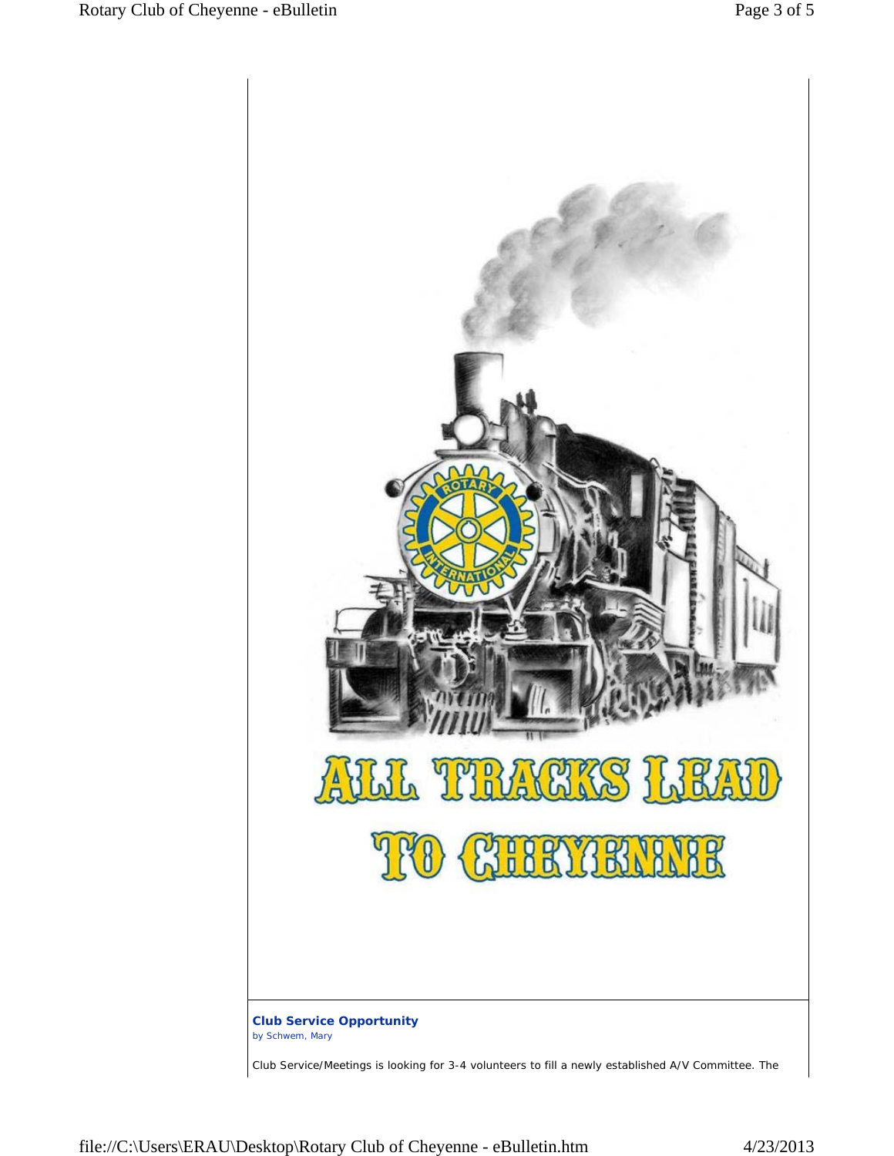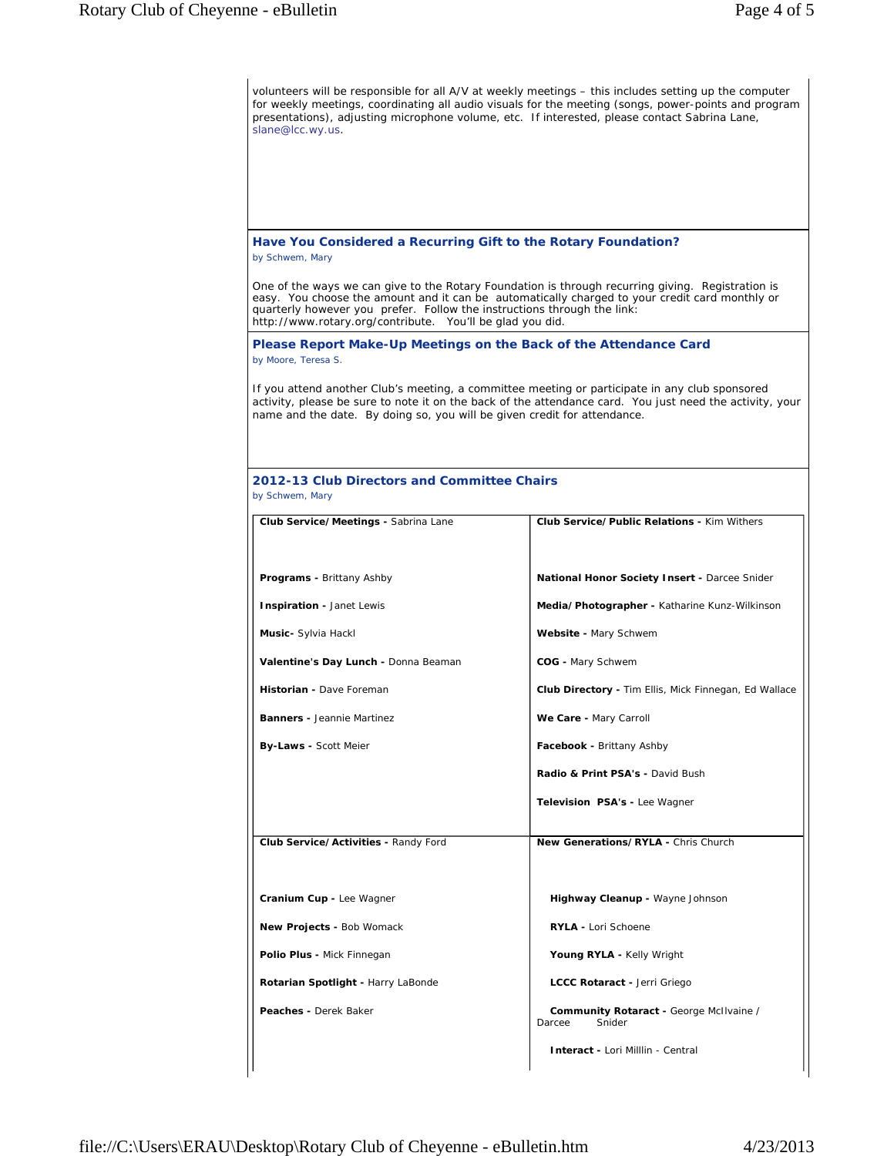| volunteers will be responsible for all A/V at weekly meetings – this includes setting up the computer<br>for weekly meetings, coordinating all audio visuals for the meeting (songs, power-points and program<br>presentations), adjusting microphone volume, etc. If interested, please contact Sabrina Lane,<br>slane@lcc.wy.us.          |                                                              |  |  |  |
|---------------------------------------------------------------------------------------------------------------------------------------------------------------------------------------------------------------------------------------------------------------------------------------------------------------------------------------------|--------------------------------------------------------------|--|--|--|
|                                                                                                                                                                                                                                                                                                                                             |                                                              |  |  |  |
| Have You Considered a Recurring Gift to the Rotary Foundation?<br>by Schwem, Mary                                                                                                                                                                                                                                                           |                                                              |  |  |  |
| One of the ways we can give to the Rotary Foundation is through recurring giving. Registration is<br>easy. You choose the amount and it can be automatically charged to your credit card monthly or<br>quarterly however you prefer. Follow the instructions through the link:<br>http://www.rotary.org/contribute. You'll be glad you did. |                                                              |  |  |  |
| Please Report Make-Up Meetings on the Back of the Attendance Card<br>by Moore, Teresa S.                                                                                                                                                                                                                                                    |                                                              |  |  |  |
| If you attend another Club's meeting, a committee meeting or participate in any club sponsored<br>activity, please be sure to note it on the back of the attendance card. You just need the activity, your<br>name and the date. By doing so, you will be given credit for attendance.                                                      |                                                              |  |  |  |
| 2012-13 Club Directors and Committee Chairs<br>by Schwem, Mary                                                                                                                                                                                                                                                                              |                                                              |  |  |  |
| Club Service/Meetings - Sabrina Lane                                                                                                                                                                                                                                                                                                        | <b>Club Service/Public Relations - Kim Withers</b>           |  |  |  |
|                                                                                                                                                                                                                                                                                                                                             |                                                              |  |  |  |
| <b>Programs - Brittany Ashby</b>                                                                                                                                                                                                                                                                                                            | <b>National Honor Society Insert - Darcee Snider</b>         |  |  |  |
| Inspiration - Janet Lewis                                                                                                                                                                                                                                                                                                                   | Media/Photographer - Katharine Kunz-Wilkinson                |  |  |  |
| Music- Sylvia Hackl                                                                                                                                                                                                                                                                                                                         | Website - Mary Schwem                                        |  |  |  |
| Valentine's Day Lunch - Donna Beaman                                                                                                                                                                                                                                                                                                        | COG - Mary Schwem                                            |  |  |  |
| Historian - Dave Foreman                                                                                                                                                                                                                                                                                                                    | <b>Club Directory -</b> Tim Ellis, Mick Finnegan, Ed Wallace |  |  |  |
| <b>Banners - Jeannie Martinez</b>                                                                                                                                                                                                                                                                                                           | We Care - Mary Carroll                                       |  |  |  |
| <b>By-Laws - Scott Meier</b>                                                                                                                                                                                                                                                                                                                | Facebook - Brittany Ashby                                    |  |  |  |
|                                                                                                                                                                                                                                                                                                                                             | Radio & Print PSA's - David Bush                             |  |  |  |
|                                                                                                                                                                                                                                                                                                                                             | Television PSA's - Lee Wagner                                |  |  |  |
| Club Service/Activities - Randy Ford                                                                                                                                                                                                                                                                                                        | New Generations/RYLA - Chris Church                          |  |  |  |
|                                                                                                                                                                                                                                                                                                                                             |                                                              |  |  |  |
| Cranium Cup - Lee Wagner                                                                                                                                                                                                                                                                                                                    | Highway Cleanup - Wayne Johnson                              |  |  |  |
| New Projects - Bob Womack                                                                                                                                                                                                                                                                                                                   | <b>RYLA - Lori Schoene</b>                                   |  |  |  |
| Polio Plus - Mick Finnegan                                                                                                                                                                                                                                                                                                                  | Young RYLA - Kelly Wright                                    |  |  |  |
| Rotarian Spotlight - Harry LaBonde                                                                                                                                                                                                                                                                                                          | LCCC Rotaract - Jerri Griego                                 |  |  |  |
| Peaches - Derek Baker                                                                                                                                                                                                                                                                                                                       | Community Rotaract - George McIlvaine /<br>Snider<br>Darcee  |  |  |  |
|                                                                                                                                                                                                                                                                                                                                             | <b>Interact - Lori Milllin - Central</b>                     |  |  |  |